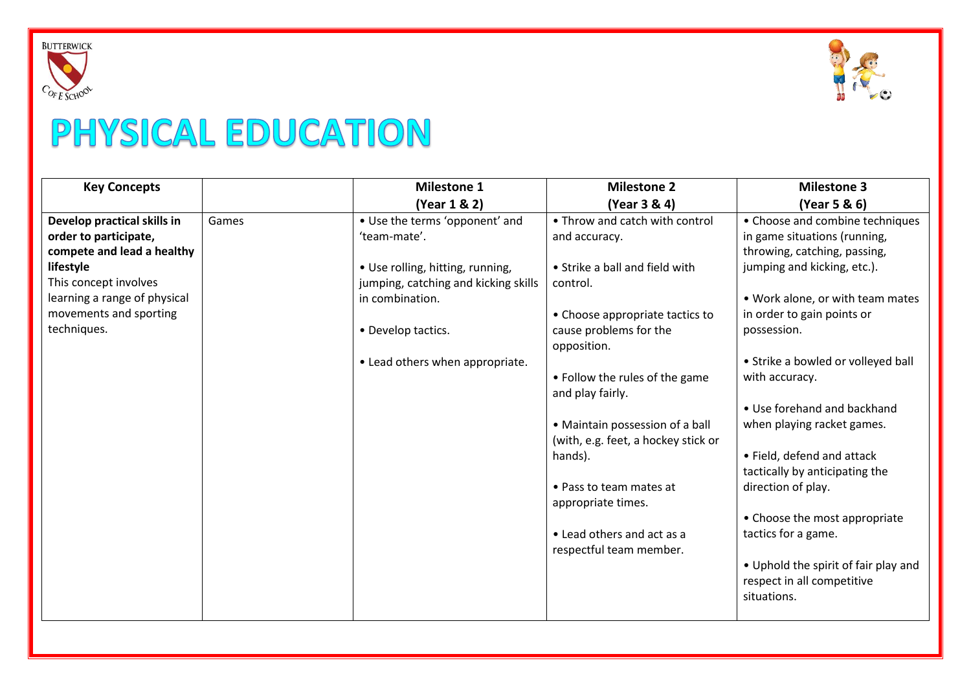



## PHYSICAL EDUCATION

| <b>Key Concepts</b>          |       | <b>Milestone 1</b>                   | <b>Milestone 2</b>                  | <b>Milestone 3</b>                   |
|------------------------------|-------|--------------------------------------|-------------------------------------|--------------------------------------|
|                              |       | (Year 1 & 2)                         | (Year 3 & 4)                        | (Year 5 & 6)                         |
| Develop practical skills in  | Games | • Use the terms 'opponent' and       | • Throw and catch with control      | • Choose and combine techniques      |
| order to participate,        |       | 'team-mate'.                         | and accuracy.                       | in game situations (running,         |
| compete and lead a healthy   |       |                                      |                                     | throwing, catching, passing,         |
| lifestyle                    |       | • Use rolling, hitting, running,     | • Strike a ball and field with      | jumping and kicking, etc.).          |
| This concept involves        |       | jumping, catching and kicking skills | control.                            |                                      |
| learning a range of physical |       | in combination.                      |                                     | . Work alone, or with team mates     |
| movements and sporting       |       |                                      | • Choose appropriate tactics to     | in order to gain points or           |
| techniques.                  |       | • Develop tactics.                   | cause problems for the              | possession.                          |
|                              |       |                                      | opposition.                         |                                      |
|                              |       | • Lead others when appropriate.      |                                     | • Strike a bowled or volleyed ball   |
|                              |       |                                      | • Follow the rules of the game      | with accuracy.                       |
|                              |       |                                      | and play fairly.                    |                                      |
|                              |       |                                      |                                     | • Use forehand and backhand          |
|                              |       |                                      | • Maintain possession of a ball     | when playing racket games.           |
|                              |       |                                      | (with, e.g. feet, a hockey stick or |                                      |
|                              |       |                                      | hands).                             | • Field, defend and attack           |
|                              |       |                                      |                                     | tactically by anticipating the       |
|                              |       |                                      | • Pass to team mates at             | direction of play.                   |
|                              |       |                                      | appropriate times.                  |                                      |
|                              |       |                                      |                                     | • Choose the most appropriate        |
|                              |       |                                      | • Lead others and act as a          | tactics for a game.                  |
|                              |       |                                      | respectful team member.             |                                      |
|                              |       |                                      |                                     | • Uphold the spirit of fair play and |
|                              |       |                                      |                                     | respect in all competitive           |
|                              |       |                                      |                                     | situations.                          |
|                              |       |                                      |                                     |                                      |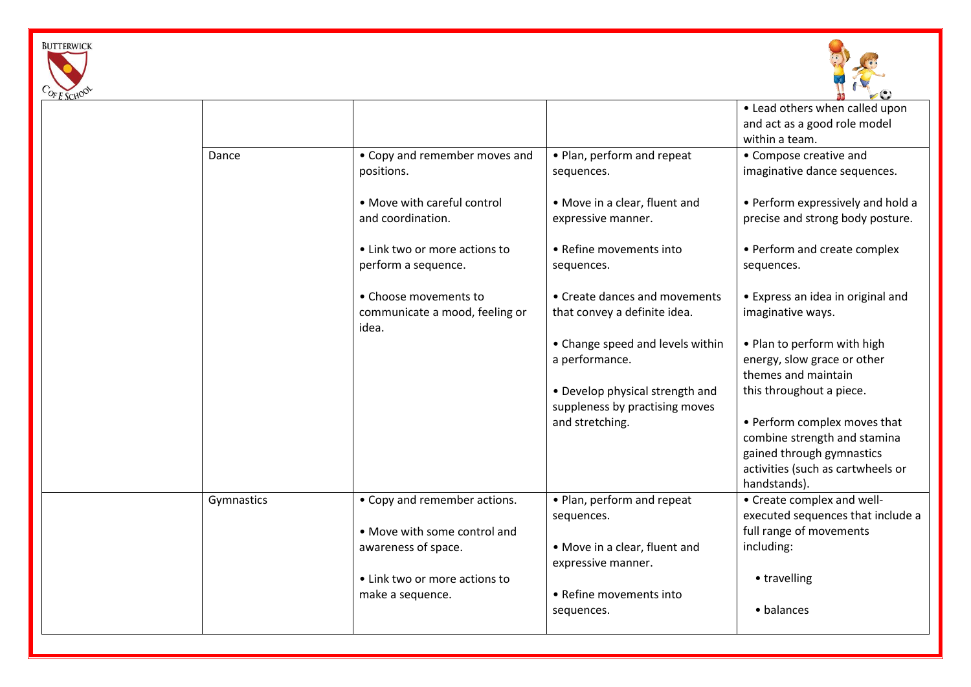



| $V_t$ SCHU |            |                                |                                                                   | $\sim$                            |
|------------|------------|--------------------------------|-------------------------------------------------------------------|-----------------------------------|
|            |            |                                |                                                                   | • Lead others when called upon    |
|            |            |                                |                                                                   | and act as a good role model      |
|            |            |                                |                                                                   | within a team.                    |
|            | Dance      | • Copy and remember moves and  | • Plan, perform and repeat                                        | • Compose creative and            |
|            |            | positions.                     | sequences.                                                        | imaginative dance sequences.      |
|            |            | • Move with careful control    | • Move in a clear, fluent and                                     | • Perform expressively and hold a |
|            |            | and coordination.              | expressive manner.                                                | precise and strong body posture.  |
|            |            | • Link two or more actions to  | • Refine movements into                                           | • Perform and create complex      |
|            |            | perform a sequence.            | sequences.                                                        | sequences.                        |
|            |            | • Choose movements to          | • Create dances and movements                                     | • Express an idea in original and |
|            |            | communicate a mood, feeling or | that convey a definite idea.                                      | imaginative ways.                 |
|            |            | idea.                          |                                                                   |                                   |
|            |            |                                | • Change speed and levels within                                  | . Plan to perform with high       |
|            |            |                                | a performance.                                                    | energy, slow grace or other       |
|            |            |                                |                                                                   | themes and maintain               |
|            |            |                                | • Develop physical strength and<br>suppleness by practising moves | this throughout a piece.          |
|            |            |                                | and stretching.                                                   | • Perform complex moves that      |
|            |            |                                |                                                                   | combine strength and stamina      |
|            |            |                                |                                                                   | gained through gymnastics         |
|            |            |                                |                                                                   | activities (such as cartwheels or |
|            |            |                                |                                                                   | handstands).                      |
|            | Gymnastics | • Copy and remember actions.   | • Plan, perform and repeat                                        | • Create complex and well-        |
|            |            |                                | sequences.                                                        | executed sequences that include a |
|            |            | • Move with some control and   |                                                                   | full range of movements           |
|            |            | awareness of space.            | • Move in a clear, fluent and<br>expressive manner.               | including:                        |
|            |            | • Link two or more actions to  |                                                                   |                                   |
|            |            |                                |                                                                   | • travelling                      |
|            |            | make a sequence.               | • Refine movements into                                           |                                   |
|            |            |                                | sequences.                                                        | • balances                        |
|            |            |                                |                                                                   |                                   |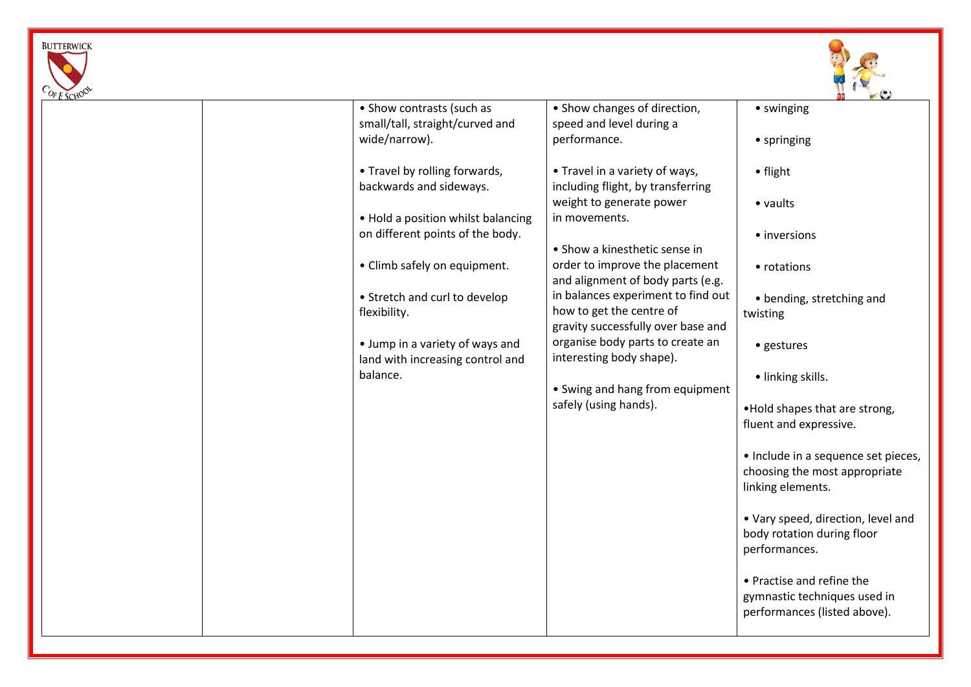



| $45$ SCHO |                                    |                                    |                                     |
|-----------|------------------------------------|------------------------------------|-------------------------------------|
|           | • Show contrasts (such as          | • Show changes of direction,       | • swinging                          |
|           | small/tall, straight/curved and    | speed and level during a           |                                     |
|           | wide/narrow).                      | performance.                       | • springing                         |
|           |                                    |                                    |                                     |
|           |                                    |                                    |                                     |
|           | • Travel by rolling forwards,      | • Travel in a variety of ways,     | • flight                            |
|           | backwards and sideways.            | including flight, by transferring  |                                     |
|           |                                    | weight to generate power           | • vaults                            |
|           | • Hold a position whilst balancing | in movements.                      |                                     |
|           |                                    |                                    |                                     |
|           | on different points of the body.   |                                    | • inversions                        |
|           |                                    | • Show a kinesthetic sense in      |                                     |
|           | • Climb safely on equipment.       | order to improve the placement     | • rotations                         |
|           |                                    | and alignment of body parts (e.g.  |                                     |
|           | • Stretch and curl to develop      | in balances experiment to find out | • bending, stretching and           |
|           | flexibility.                       | how to get the centre of           |                                     |
|           |                                    |                                    | twisting                            |
|           |                                    | gravity successfully over base and |                                     |
|           | • Jump in a variety of ways and    | organise body parts to create an   | • gestures                          |
|           | land with increasing control and   | interesting body shape).           |                                     |
|           | balance.                           |                                    | · linking skills.                   |
|           |                                    | • Swing and hang from equipment    |                                     |
|           |                                    | safely (using hands).              |                                     |
|           |                                    |                                    | . Hold shapes that are strong,      |
|           |                                    |                                    | fluent and expressive.              |
|           |                                    |                                    |                                     |
|           |                                    |                                    | • Include in a sequence set pieces, |
|           |                                    |                                    | choosing the most appropriate       |
|           |                                    |                                    |                                     |
|           |                                    |                                    | linking elements.                   |
|           |                                    |                                    |                                     |
|           |                                    |                                    | • Vary speed, direction, level and  |
|           |                                    |                                    | body rotation during floor          |
|           |                                    |                                    | performances.                       |
|           |                                    |                                    |                                     |
|           |                                    |                                    |                                     |
|           |                                    |                                    | • Practise and refine the           |
|           |                                    |                                    | gymnastic techniques used in        |
|           |                                    |                                    | performances (listed above).        |
|           |                                    |                                    |                                     |
|           |                                    |                                    |                                     |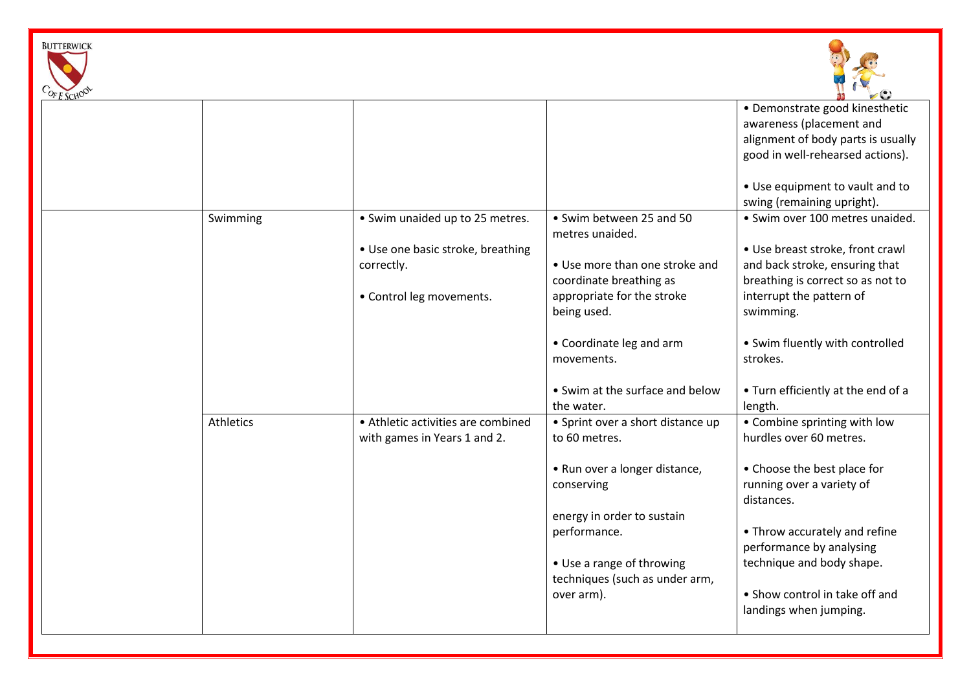



| $v_t$ SCHU |           |                                    |                                   | $\sim$                             |
|------------|-----------|------------------------------------|-----------------------------------|------------------------------------|
|            |           |                                    |                                   | • Demonstrate good kinesthetic     |
|            |           |                                    |                                   | awareness (placement and           |
|            |           |                                    |                                   | alignment of body parts is usually |
|            |           |                                    |                                   | good in well-rehearsed actions).   |
|            |           |                                    |                                   |                                    |
|            |           |                                    |                                   | • Use equipment to vault and to    |
|            |           |                                    |                                   | swing (remaining upright).         |
|            | Swimming  | • Swim unaided up to 25 metres.    | • Swim between 25 and 50          | · Swim over 100 metres unaided.    |
|            |           |                                    | metres unaided.                   |                                    |
|            |           | • Use one basic stroke, breathing  |                                   | • Use breast stroke, front crawl   |
|            |           | correctly.                         | • Use more than one stroke and    | and back stroke, ensuring that     |
|            |           |                                    | coordinate breathing as           | breathing is correct so as not to  |
|            |           | • Control leg movements.           | appropriate for the stroke        | interrupt the pattern of           |
|            |           |                                    | being used.                       | swimming.                          |
|            |           |                                    |                                   |                                    |
|            |           |                                    | • Coordinate leg and arm          | • Swim fluently with controlled    |
|            |           |                                    | movements.                        | strokes.                           |
|            |           |                                    |                                   |                                    |
|            |           |                                    | • Swim at the surface and below   | • Turn efficiently at the end of a |
|            |           |                                    | the water.                        | length.                            |
|            | Athletics | • Athletic activities are combined | • Sprint over a short distance up | • Combine sprinting with low       |
|            |           | with games in Years 1 and 2.       | to 60 metres.                     | hurdles over 60 metres.            |
|            |           |                                    |                                   |                                    |
|            |           |                                    | • Run over a longer distance,     | • Choose the best place for        |
|            |           |                                    | conserving                        | running over a variety of          |
|            |           |                                    |                                   | distances.                         |
|            |           |                                    | energy in order to sustain        |                                    |
|            |           |                                    | performance.                      | • Throw accurately and refine      |
|            |           |                                    |                                   | performance by analysing           |
|            |           |                                    | • Use a range of throwing         | technique and body shape.          |
|            |           |                                    | techniques (such as under arm,    |                                    |
|            |           |                                    |                                   | • Show control in take off and     |
|            |           |                                    | over arm).                        |                                    |
|            |           |                                    |                                   | landings when jumping.             |
|            |           |                                    |                                   |                                    |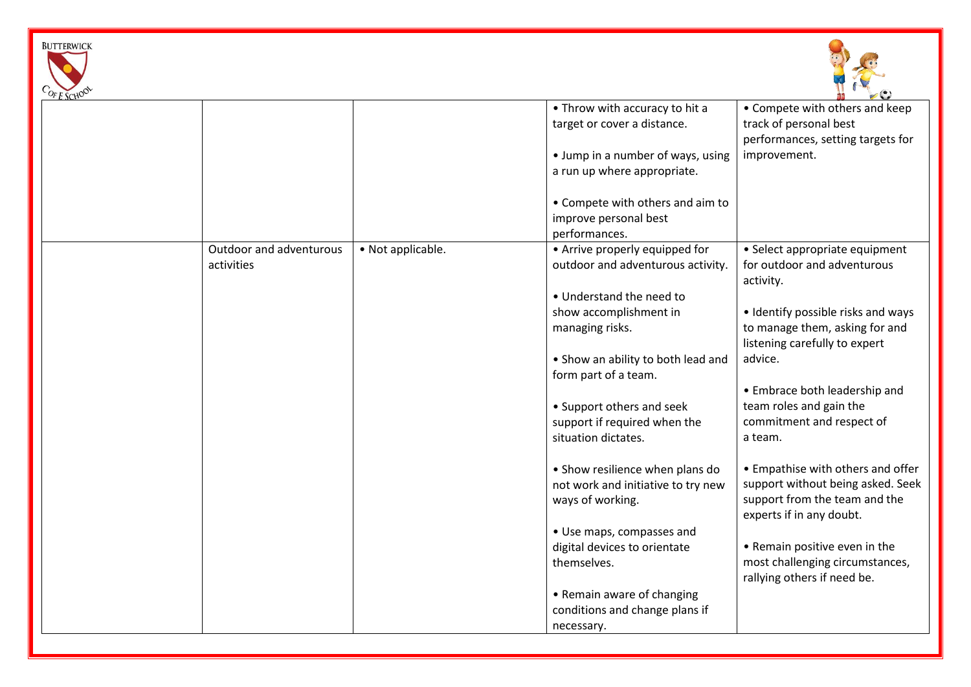



| • Throw with accuracy to hit a<br>• Compete with others and keep<br>track of personal best<br>target or cover a distance.<br>performances, setting targets for<br>• Jump in a number of ways, using<br>improvement.<br>a run up where appropriate.<br>• Compete with others and aim to<br>improve personal best<br>performances.<br>• Not applicable.<br>• Arrive properly equipped for<br>Outdoor and adventurous<br>• Select appropriate equipment<br>outdoor and adventurous activity.<br>for outdoor and adventurous<br>activities<br>activity.<br>• Understand the need to<br>show accomplishment in<br>• Identify possible risks and ways<br>to manage them, asking for and<br>managing risks.<br>listening carefully to expert<br>advice.<br>• Show an ability to both lead and<br>form part of a team.<br>• Embrace both leadership and<br>team roles and gain the<br>• Support others and seek<br>commitment and respect of<br>support if required when the<br>situation dictates.<br>a team.<br>• Empathise with others and offer<br>• Show resilience when plans do<br>support without being asked. Seek<br>not work and initiative to try new<br>support from the team and the<br>ways of working.<br>experts if in any doubt.<br>• Use maps, compasses and<br>digital devices to orientate<br>• Remain positive even in the<br>most challenging circumstances,<br>themselves.<br>rallying others if need be.<br>• Remain aware of changing<br>conditions and change plans if | $r_L$ scho |  |            |  |
|-------------------------------------------------------------------------------------------------------------------------------------------------------------------------------------------------------------------------------------------------------------------------------------------------------------------------------------------------------------------------------------------------------------------------------------------------------------------------------------------------------------------------------------------------------------------------------------------------------------------------------------------------------------------------------------------------------------------------------------------------------------------------------------------------------------------------------------------------------------------------------------------------------------------------------------------------------------------------------------------------------------------------------------------------------------------------------------------------------------------------------------------------------------------------------------------------------------------------------------------------------------------------------------------------------------------------------------------------------------------------------------------------------------------------------------------------------------------------------------------|------------|--|------------|--|
|                                                                                                                                                                                                                                                                                                                                                                                                                                                                                                                                                                                                                                                                                                                                                                                                                                                                                                                                                                                                                                                                                                                                                                                                                                                                                                                                                                                                                                                                                           |            |  |            |  |
|                                                                                                                                                                                                                                                                                                                                                                                                                                                                                                                                                                                                                                                                                                                                                                                                                                                                                                                                                                                                                                                                                                                                                                                                                                                                                                                                                                                                                                                                                           |            |  |            |  |
|                                                                                                                                                                                                                                                                                                                                                                                                                                                                                                                                                                                                                                                                                                                                                                                                                                                                                                                                                                                                                                                                                                                                                                                                                                                                                                                                                                                                                                                                                           |            |  |            |  |
|                                                                                                                                                                                                                                                                                                                                                                                                                                                                                                                                                                                                                                                                                                                                                                                                                                                                                                                                                                                                                                                                                                                                                                                                                                                                                                                                                                                                                                                                                           |            |  |            |  |
|                                                                                                                                                                                                                                                                                                                                                                                                                                                                                                                                                                                                                                                                                                                                                                                                                                                                                                                                                                                                                                                                                                                                                                                                                                                                                                                                                                                                                                                                                           |            |  |            |  |
|                                                                                                                                                                                                                                                                                                                                                                                                                                                                                                                                                                                                                                                                                                                                                                                                                                                                                                                                                                                                                                                                                                                                                                                                                                                                                                                                                                                                                                                                                           |            |  |            |  |
|                                                                                                                                                                                                                                                                                                                                                                                                                                                                                                                                                                                                                                                                                                                                                                                                                                                                                                                                                                                                                                                                                                                                                                                                                                                                                                                                                                                                                                                                                           |            |  |            |  |
|                                                                                                                                                                                                                                                                                                                                                                                                                                                                                                                                                                                                                                                                                                                                                                                                                                                                                                                                                                                                                                                                                                                                                                                                                                                                                                                                                                                                                                                                                           |            |  |            |  |
|                                                                                                                                                                                                                                                                                                                                                                                                                                                                                                                                                                                                                                                                                                                                                                                                                                                                                                                                                                                                                                                                                                                                                                                                                                                                                                                                                                                                                                                                                           |            |  |            |  |
|                                                                                                                                                                                                                                                                                                                                                                                                                                                                                                                                                                                                                                                                                                                                                                                                                                                                                                                                                                                                                                                                                                                                                                                                                                                                                                                                                                                                                                                                                           |            |  |            |  |
|                                                                                                                                                                                                                                                                                                                                                                                                                                                                                                                                                                                                                                                                                                                                                                                                                                                                                                                                                                                                                                                                                                                                                                                                                                                                                                                                                                                                                                                                                           |            |  |            |  |
|                                                                                                                                                                                                                                                                                                                                                                                                                                                                                                                                                                                                                                                                                                                                                                                                                                                                                                                                                                                                                                                                                                                                                                                                                                                                                                                                                                                                                                                                                           |            |  |            |  |
|                                                                                                                                                                                                                                                                                                                                                                                                                                                                                                                                                                                                                                                                                                                                                                                                                                                                                                                                                                                                                                                                                                                                                                                                                                                                                                                                                                                                                                                                                           |            |  |            |  |
|                                                                                                                                                                                                                                                                                                                                                                                                                                                                                                                                                                                                                                                                                                                                                                                                                                                                                                                                                                                                                                                                                                                                                                                                                                                                                                                                                                                                                                                                                           |            |  |            |  |
|                                                                                                                                                                                                                                                                                                                                                                                                                                                                                                                                                                                                                                                                                                                                                                                                                                                                                                                                                                                                                                                                                                                                                                                                                                                                                                                                                                                                                                                                                           |            |  |            |  |
|                                                                                                                                                                                                                                                                                                                                                                                                                                                                                                                                                                                                                                                                                                                                                                                                                                                                                                                                                                                                                                                                                                                                                                                                                                                                                                                                                                                                                                                                                           |            |  |            |  |
|                                                                                                                                                                                                                                                                                                                                                                                                                                                                                                                                                                                                                                                                                                                                                                                                                                                                                                                                                                                                                                                                                                                                                                                                                                                                                                                                                                                                                                                                                           |            |  |            |  |
|                                                                                                                                                                                                                                                                                                                                                                                                                                                                                                                                                                                                                                                                                                                                                                                                                                                                                                                                                                                                                                                                                                                                                                                                                                                                                                                                                                                                                                                                                           |            |  |            |  |
|                                                                                                                                                                                                                                                                                                                                                                                                                                                                                                                                                                                                                                                                                                                                                                                                                                                                                                                                                                                                                                                                                                                                                                                                                                                                                                                                                                                                                                                                                           |            |  |            |  |
|                                                                                                                                                                                                                                                                                                                                                                                                                                                                                                                                                                                                                                                                                                                                                                                                                                                                                                                                                                                                                                                                                                                                                                                                                                                                                                                                                                                                                                                                                           |            |  |            |  |
|                                                                                                                                                                                                                                                                                                                                                                                                                                                                                                                                                                                                                                                                                                                                                                                                                                                                                                                                                                                                                                                                                                                                                                                                                                                                                                                                                                                                                                                                                           |            |  |            |  |
|                                                                                                                                                                                                                                                                                                                                                                                                                                                                                                                                                                                                                                                                                                                                                                                                                                                                                                                                                                                                                                                                                                                                                                                                                                                                                                                                                                                                                                                                                           |            |  |            |  |
|                                                                                                                                                                                                                                                                                                                                                                                                                                                                                                                                                                                                                                                                                                                                                                                                                                                                                                                                                                                                                                                                                                                                                                                                                                                                                                                                                                                                                                                                                           |            |  |            |  |
|                                                                                                                                                                                                                                                                                                                                                                                                                                                                                                                                                                                                                                                                                                                                                                                                                                                                                                                                                                                                                                                                                                                                                                                                                                                                                                                                                                                                                                                                                           |            |  |            |  |
|                                                                                                                                                                                                                                                                                                                                                                                                                                                                                                                                                                                                                                                                                                                                                                                                                                                                                                                                                                                                                                                                                                                                                                                                                                                                                                                                                                                                                                                                                           |            |  |            |  |
|                                                                                                                                                                                                                                                                                                                                                                                                                                                                                                                                                                                                                                                                                                                                                                                                                                                                                                                                                                                                                                                                                                                                                                                                                                                                                                                                                                                                                                                                                           |            |  |            |  |
|                                                                                                                                                                                                                                                                                                                                                                                                                                                                                                                                                                                                                                                                                                                                                                                                                                                                                                                                                                                                                                                                                                                                                                                                                                                                                                                                                                                                                                                                                           |            |  |            |  |
|                                                                                                                                                                                                                                                                                                                                                                                                                                                                                                                                                                                                                                                                                                                                                                                                                                                                                                                                                                                                                                                                                                                                                                                                                                                                                                                                                                                                                                                                                           |            |  |            |  |
|                                                                                                                                                                                                                                                                                                                                                                                                                                                                                                                                                                                                                                                                                                                                                                                                                                                                                                                                                                                                                                                                                                                                                                                                                                                                                                                                                                                                                                                                                           |            |  |            |  |
|                                                                                                                                                                                                                                                                                                                                                                                                                                                                                                                                                                                                                                                                                                                                                                                                                                                                                                                                                                                                                                                                                                                                                                                                                                                                                                                                                                                                                                                                                           |            |  |            |  |
|                                                                                                                                                                                                                                                                                                                                                                                                                                                                                                                                                                                                                                                                                                                                                                                                                                                                                                                                                                                                                                                                                                                                                                                                                                                                                                                                                                                                                                                                                           |            |  |            |  |
|                                                                                                                                                                                                                                                                                                                                                                                                                                                                                                                                                                                                                                                                                                                                                                                                                                                                                                                                                                                                                                                                                                                                                                                                                                                                                                                                                                                                                                                                                           |            |  |            |  |
|                                                                                                                                                                                                                                                                                                                                                                                                                                                                                                                                                                                                                                                                                                                                                                                                                                                                                                                                                                                                                                                                                                                                                                                                                                                                                                                                                                                                                                                                                           |            |  |            |  |
|                                                                                                                                                                                                                                                                                                                                                                                                                                                                                                                                                                                                                                                                                                                                                                                                                                                                                                                                                                                                                                                                                                                                                                                                                                                                                                                                                                                                                                                                                           |            |  | necessary. |  |